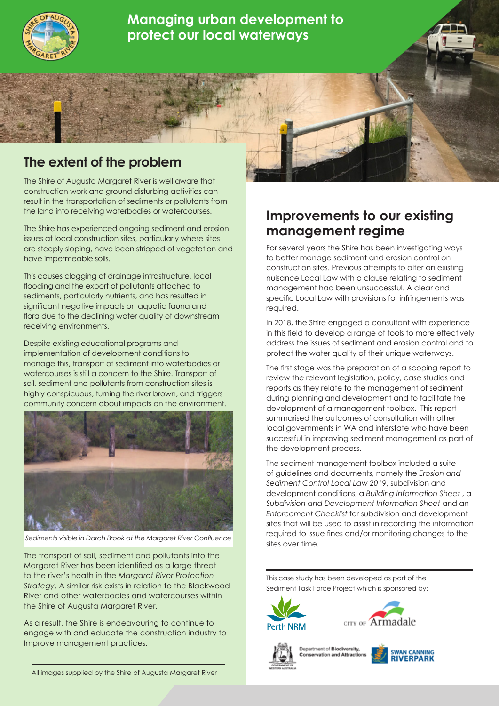

**Managing urban development to protect our local waterways**

## **The extent of the problem**

The Shire of Augusta Margaret River is well aware that construction work and ground disturbing activities can result in the transportation of sediments or pollutants from the land into receiving waterbodies or watercourses.

The Shire has experienced ongoing sediment and erosion issues at local construction sites, particularly where sites are steeply sloping, have been stripped of vegetation and have impermeable soils.

This causes clogging of drainage infrastructure, local flooding and the export of pollutants attached to sediments, particularly nutrients, and has resulted in significant negative impacts on aquatic fauna and flora due to the declining water quality of downstream receiving environments.

Despite existing educational programs and implementation of development conditions to manage this, transport of sediment into waterbodies or watercourses is still a concern to the Shire. Transport of soil, sediment and pollutants from construction sites is highly conspicuous, turning the river brown, and triggers community concern about impacts on the environment.



*Sediments visible in Darch Brook at the Margaret River Confluence*

The transport of soil, sediment and pollutants into the Margaret River has been identified as a large threat to the river's heath in the *Margaret River Protection Strategy*. A similar risk exists in relation to the Blackwood River and other waterbodies and watercourses within the Shire of Augusta Margaret River.

As a result, the Shire is endeavouring to continue to engage with and educate the construction industry to Improve management practices.

## **Improvements to our existing management regime**

For several years the Shire has been investigating ways to better manage sediment and erosion control on construction sites. Previous attempts to alter an existing nuisance Local Law with a clause relating to sediment management had been unsuccessful. A clear and specific Local Law with provisions for infringements was required.

In 2018, the Shire engaged a consultant with experience in this field to develop a range of tools to more effectively address the issues of sediment and erosion control and to protect the water quality of their unique waterways.

The first stage was the preparation of a scoping report to review the relevant legislation, policy, case studies and reports as they relate to the management of sediment during planning and development and to facilitate the development of a management toolbox. This report summarised the outcomes of consultation with other local governments in WA and interstate who have been successful in improving sediment management as part of the development process.

The sediment management toolbox included a suite of guidelines and documents, namely the *Erosion and Sediment Control Local Law 2019*, subdivision and development conditions, a *Building Information Sheet* , a *Subdivision and Development Information Sheet* and an *Enforcement Checklist* for subdivision and development sites that will be used to assist in recording the information required to issue fines and/or monitoring changes to the sites over time.

This case study has been developed as part of the Sediment Task Force Project which is sponsored by:









All images supplied by the Shire of Augusta Margaret River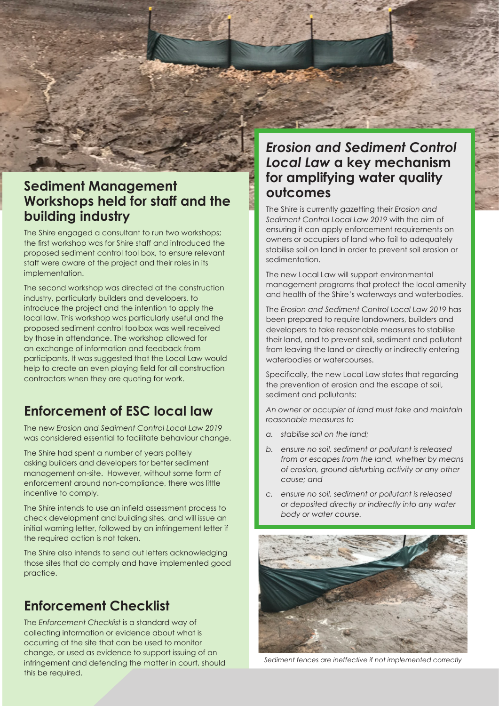

### **Sediment Management Workshops held for staff and the building industry**

The Shire engaged a consultant to run two workshops; the first workshop was for Shire staff and introduced the proposed sediment control tool box, to ensure relevant staff were aware of the project and their roles in its implementation.

The second workshop was directed at the construction industry, particularly builders and developers, to introduce the project and the intention to apply the local law. This workshop was particularly useful and the proposed sediment control toolbox was well received by those in attendance. The workshop allowed for an exchange of information and feedback from participants. It was suggested that the Local Law would help to create an even playing field for all construction contractors when they are quoting for work.

# **Enforcement of ESC local law**

The new *Erosion and Sediment Control Local Law 2019*  was considered essential to facilitate behaviour change.

The Shire had spent a number of years politely asking builders and developers for better sediment management on-site. However, without some form of enforcement around non-compliance, there was little incentive to comply.

The Shire intends to use an infield assessment process to check development and building sites, and will issue an initial warning letter, followed by an infringement letter if the required action is not taken.

The Shire also intends to send out letters acknowledging those sites that do comply and have implemented good practice.

# **Enforcement Checklist**

The *Enforcement Checklist* is a standard way of collecting information or evidence about what is occurring at the site that can be used to monitor change, or used as evidence to support issuing of an infringement and defending the matter in court, should this be required.

# **for amplifying water quality outcomes**

The Shire is currently gazetting their *Erosion and Sediment Control Local Law 2019* with the aim of ensuring it can apply enforcement requirements on owners or occupiers of land who fail to adequately stabilise soil on land in order to prevent soil erosion or sedimentation.

The new Local Law will support environmental management programs that protect the local amenity and health of the Shire's waterways and waterbodies.

The *Erosion and Sediment Control Local Law 2019* has been prepared to require landowners, builders and developers to take reasonable measures to stabilise their land, and to prevent soil, sediment and pollutant from leaving the land or directly or indirectly entering waterbodies or watercourses.

Specifically, the new Local Law states that regarding the prevention of erosion and the escape of soil, sediment and pollutants:

*An owner or occupier of land must take and maintain reasonable measures to* 

- *a. stabilise soil on the land;*
- *b. ensure no soil, sediment or pollutant is released from or escapes from the land, whether by means of erosion, ground disturbing activity or any other cause; and*
- *c. ensure no soil, sediment or pollutant is released or deposited directly or indirectly into any water body or water course.*



*Sediment fences are ineffective if not implemented correctly*